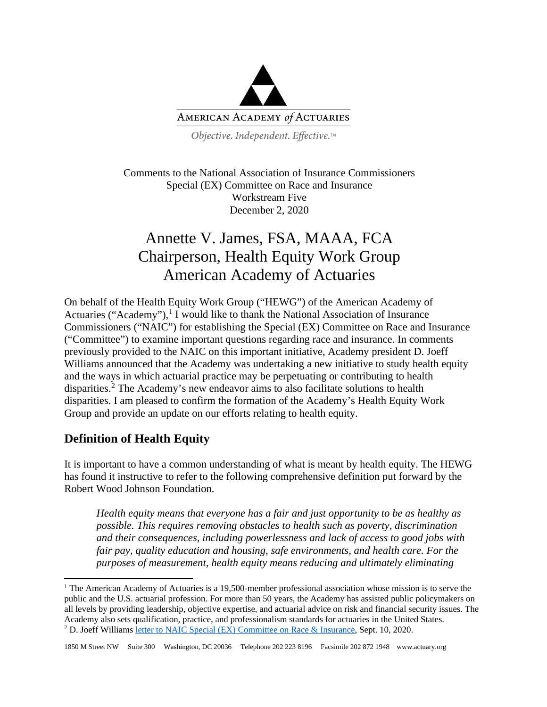

Objective. Independent. Effective.™

Comments to the National Association of Insurance Commissioners Special (EX) Committee on Race and Insurance Workstream Five December 2, 2020

## Annette V. James, FSA, MAAA, FCA Chairperson, Health Equity Work Group American Academy of Actuaries

On behalf of the Health Equity Work Group ("HEWG") of the American Academy of Actuaries ("Academy"),<sup>[1](#page-0-0)</sup> I would like to thank the National Association of Insurance Commissioners ("NAIC") for establishing the Special (EX) Committee on Race and Insurance ("Committee") to examine important questions regarding race and insurance. In comments previously provided to the NAIC on this important initiative, Academy president D. Joeff Williams announced that the Academy was undertaking a new initiative to study health equity and the ways in which actuarial practice may be perpetuating or contributing to health disparities. [2](#page-0-1) The Academy's new endeavor aims to also facilitate solutions to health disparities. I am pleased to confirm the formation of the Academy's Health Equity Work Group and provide an update on our efforts relating to health equity.

## **Definition of Health Equity**

It is important to have a common understanding of what is meant by health equity. The HEWG has found it instructive to refer to the following comprehensive definition put forward by the Robert Wood Johnson Foundation.

*Health equity means that everyone has a fair and just opportunity to be as healthy as possible. This requires removing obstacles to health such as poverty, discrimination and their consequences, including powerlessness and lack of access to good jobs with fair pay, quality education and housing, safe environments, and health care. For the purposes of measurement, health equity means reducing and ultimately eliminating* 

<span id="page-0-1"></span><span id="page-0-0"></span><sup>&</sup>lt;sup>1</sup> The American Academy of Actuaries is a 19,500-member professional association whose mission is to serve the public and the U.S. actuarial profession. For more than 50 years, the Academy has assisted public policymakers on all levels by providing leadership, objective expertise, and actuarial advice on risk and financial security issues. The Academy also sets qualification, practice, and professionalism standards for actuaries in the United States. <sup>2</sup> D. Joeff William[s letter to NAIC Special \(EX\) Committee on Race & Insurance,](https://www.actuary.org/sites/default/files/2020-09/Academy-Comments-NAIC-Race-Insurance-Cttee.pdf) Sept. 10, 2020.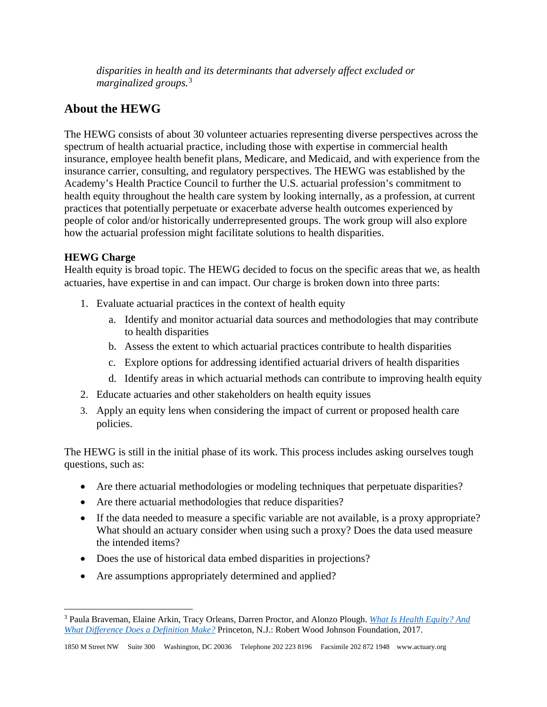*disparities in health and its determinants that adversely affect excluded or marginalized groups.*[3](#page-1-0)

## **About the HEWG**

The HEWG consists of about 30 volunteer actuaries representing diverse perspectives across the spectrum of health actuarial practice, including those with expertise in commercial health insurance, employee health benefit plans, Medicare, and Medicaid, and with experience from the insurance carrier, consulting, and regulatory perspectives. The HEWG was established by the Academy's Health Practice Council to further the U.S. actuarial profession's commitment to health equity throughout the health care system by looking internally, as a profession, at current practices that potentially perpetuate or exacerbate adverse health outcomes experienced by people of color and/or historically underrepresented groups. The work group will also explore how the actuarial profession might facilitate solutions to health disparities.

## **HEWG Charge**

Health equity is broad topic. The HEWG decided to focus on the specific areas that we, as health actuaries, have expertise in and can impact. Our charge is broken down into three parts:

- 1. Evaluate actuarial practices in the context of health equity
	- a. Identify and monitor actuarial data sources and methodologies that may contribute to health disparities
	- b. Assess the extent to which actuarial practices contribute to health disparities
	- c. Explore options for addressing identified actuarial drivers of health disparities
	- d. Identify areas in which actuarial methods can contribute to improving health equity
- 2. Educate actuaries and other stakeholders on health equity issues
- 3. Apply an equity lens when considering the impact of current or proposed health care policies.

The HEWG is still in the initial phase of its work. This process includes asking ourselves tough questions, such as:

- Are there actuarial methodologies or modeling techniques that perpetuate disparities?
- Are there actuarial methodologies that reduce disparities?
- If the data needed to measure a specific variable are not available, is a proxy appropriate? What should an actuary consider when using such a proxy? Does the data used measure the intended items?
- Does the use of historical data embed disparities in projections?
- Are assumptions appropriately determined and applied?

<span id="page-1-0"></span><sup>3</sup> Paula Braveman, Elaine Arkin, Tracy Orleans, Darren Proctor, and Alonzo Plough. *[What Is Health Equity? And](https://www.rwjf.org/en/library/research/2017/05/what-is-health-equity-.html) [What Difference Does a Definition Make?](https://www.rwjf.org/en/library/research/2017/05/what-is-health-equity-.html)* Princeton, N.J.: Robert Wood Johnson Foundation, 2017.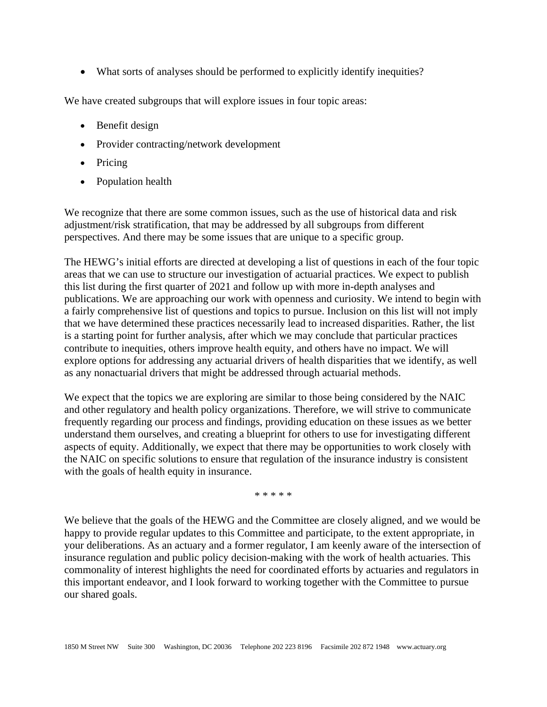• What sorts of analyses should be performed to explicitly identify inequities?

We have created subgroups that will explore issues in four topic areas:

- Benefit design
- Provider contracting/network development
- Pricing
- Population health

We recognize that there are some common issues, such as the use of historical data and risk adjustment/risk stratification, that may be addressed by all subgroups from different perspectives. And there may be some issues that are unique to a specific group.

The HEWG's initial efforts are directed at developing a list of questions in each of the four topic areas that we can use to structure our investigation of actuarial practices. We expect to publish this list during the first quarter of 2021 and follow up with more in-depth analyses and publications. We are approaching our work with openness and curiosity. We intend to begin with a fairly comprehensive list of questions and topics to pursue. Inclusion on this list will not imply that we have determined these practices necessarily lead to increased disparities. Rather, the list is a starting point for further analysis, after which we may conclude that particular practices contribute to inequities, others improve health equity, and others have no impact. We will explore options for addressing any actuarial drivers of health disparities that we identify, as well as any nonactuarial drivers that might be addressed through actuarial methods.

We expect that the topics we are exploring are similar to those being considered by the NAIC and other regulatory and health policy organizations. Therefore, we will strive to communicate frequently regarding our process and findings, providing education on these issues as we better understand them ourselves, and creating a blueprint for others to use for investigating different aspects of equity. Additionally, we expect that there may be opportunities to work closely with the NAIC on specific solutions to ensure that regulation of the insurance industry is consistent with the goals of health equity in insurance.

\* \* \* \* \*

We believe that the goals of the HEWG and the Committee are closely aligned, and we would be happy to provide regular updates to this Committee and participate, to the extent appropriate, in your deliberations. As an actuary and a former regulator, I am keenly aware of the intersection of insurance regulation and public policy decision-making with the work of health actuaries. This commonality of interest highlights the need for coordinated efforts by actuaries and regulators in this important endeavor, and I look forward to working together with the Committee to pursue our shared goals.